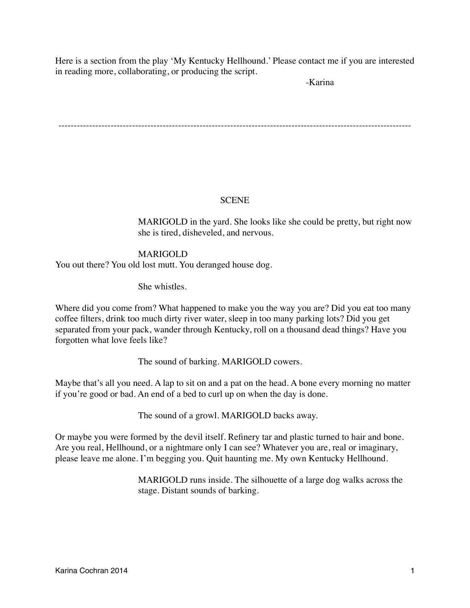Here is a section from the play 'My Kentucky Hellhound.' Please contact me if you are interested in reading more, collaborating, or producing the script.

-Karina

-------------------------------------------------------------------------------------------------------------------

# **SCENE**

MARIGOLD in the yard. She looks like she could be pretty, but right now she is tired, disheveled, and nervous.

# **MARIGOLD**

You out there? You old lost mutt. You deranged house dog.

She whistles.

Where did you come from? What happened to make you the way you are? Did you eat too many coffee filters, drink too much dirty river water, sleep in too many parking lots? Did you get separated from your pack, wander through Kentucky, roll on a thousand dead things? Have you forgotten what love feels like?

The sound of barking. MARIGOLD cowers.

Maybe that's all you need. A lap to sit on and a pat on the head. A bone every morning no matter if you're good or bad. An end of a bed to curl up on when the day is done.

The sound of a growl. MARIGOLD backs away.

Or maybe you were formed by the devil itself. Refinery tar and plastic turned to hair and bone. Are you real, Hellhound, or a nightmare only I can see? Whatever you are, real or imaginary, please leave me alone. I'm begging you. Quit haunting me. My own Kentucky Hellhound.

> MARIGOLD runs inside. The silhouette of a large dog walks across the stage. Distant sounds of barking.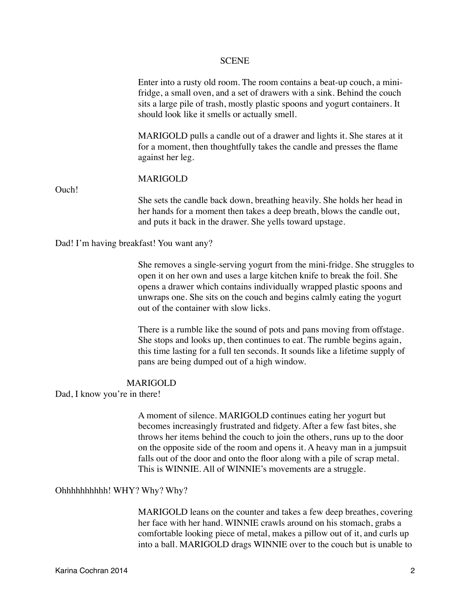### SCENE

Enter into a rusty old room. The room contains a beat-up couch, a minifridge, a small oven, and a set of drawers with a sink. Behind the couch sits a large pile of trash, mostly plastic spoons and yogurt containers. It should look like it smells or actually smell.

MARIGOLD pulls a candle out of a drawer and lights it. She stares at it for a moment, then thoughtfully takes the candle and presses the flame against her leg.

### **MARIGOLD**

Ouch!

She sets the candle back down, breathing heavily. She holds her head in her hands for a moment then takes a deep breath, blows the candle out, and puts it back in the drawer. She yells toward upstage.

Dad! I'm having breakfast! You want any?

She removes a single-serving yogurt from the mini-fridge. She struggles to open it on her own and uses a large kitchen knife to break the foil. She opens a drawer which contains individually wrapped plastic spoons and unwraps one. She sits on the couch and begins calmly eating the yogurt out of the container with slow licks.

There is a rumble like the sound of pots and pans moving from offstage. She stops and looks up, then continues to eat. The rumble begins again, this time lasting for a full ten seconds. It sounds like a lifetime supply of pans are being dumped out of a high window.

### **MARIGOLD**

Dad, I know you're in there!

A moment of silence. MARIGOLD continues eating her yogurt but becomes increasingly frustrated and fidgety. After a few fast bites, she throws her items behind the couch to join the others, runs up to the door on the opposite side of the room and opens it. A heavy man in a jumpsuit falls out of the door and onto the floor along with a pile of scrap metal. This is WINNIE. All of WINNIE's movements are a struggle.

### Ohhhhhhhhhh! WHY? Why? Why?

MARIGOLD leans on the counter and takes a few deep breathes, covering her face with her hand. WINNIE crawls around on his stomach, grabs a comfortable looking piece of metal, makes a pillow out of it, and curls up into a ball. MARIGOLD drags WINNIE over to the couch but is unable to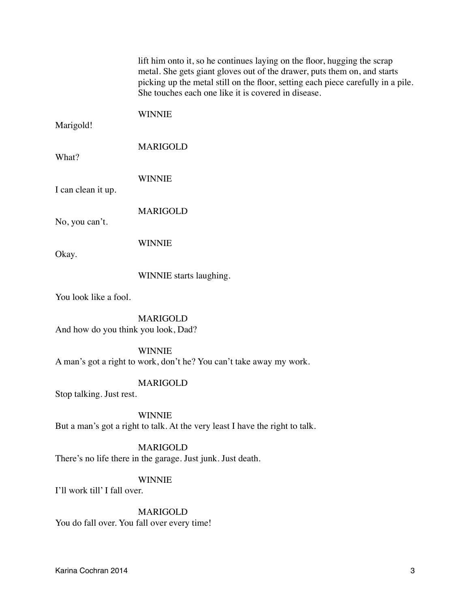| lift him onto it, so he continues laying on the floor, hugging the scrap<br>metal. She gets giant gloves out of the drawer, puts them on, and starts<br>She touches each one like it is covered in disease.<br><b>WINNIE</b><br>Marigold!<br><b>MARIGOLD</b><br>What?<br><b>WINNIE</b><br>I can clean it up.<br><b>MARIGOLD</b><br>No, you can't.<br><b>WINNIE</b><br>Okay.<br>WINNIE starts laughing.<br>You look like a fool.<br><b>MARIGOLD</b><br>And how do you think you look, Dad?<br><b>WINNIE</b><br>A man's got a right to work, don't he? You can't take away my work.<br><b>MARIGOLD</b><br>Stop talking. Just rest.<br><b>WINNIE</b><br>But a man's got a right to talk. At the very least I have the right to talk.<br><b>MARIGOLD</b><br>There's no life there in the garage. Just junk. Just death.<br><b>WINNIE</b><br>I'll work till' I fall over.<br><b>MARIGOLD</b><br>You do fall over. You fall over every time! |                                                                                  |
|----------------------------------------------------------------------------------------------------------------------------------------------------------------------------------------------------------------------------------------------------------------------------------------------------------------------------------------------------------------------------------------------------------------------------------------------------------------------------------------------------------------------------------------------------------------------------------------------------------------------------------------------------------------------------------------------------------------------------------------------------------------------------------------------------------------------------------------------------------------------------------------------------------------------------------------|----------------------------------------------------------------------------------|
|                                                                                                                                                                                                                                                                                                                                                                                                                                                                                                                                                                                                                                                                                                                                                                                                                                                                                                                                        | picking up the metal still on the floor, setting each piece carefully in a pile. |
|                                                                                                                                                                                                                                                                                                                                                                                                                                                                                                                                                                                                                                                                                                                                                                                                                                                                                                                                        |                                                                                  |
|                                                                                                                                                                                                                                                                                                                                                                                                                                                                                                                                                                                                                                                                                                                                                                                                                                                                                                                                        |                                                                                  |
|                                                                                                                                                                                                                                                                                                                                                                                                                                                                                                                                                                                                                                                                                                                                                                                                                                                                                                                                        |                                                                                  |
|                                                                                                                                                                                                                                                                                                                                                                                                                                                                                                                                                                                                                                                                                                                                                                                                                                                                                                                                        |                                                                                  |
|                                                                                                                                                                                                                                                                                                                                                                                                                                                                                                                                                                                                                                                                                                                                                                                                                                                                                                                                        |                                                                                  |
|                                                                                                                                                                                                                                                                                                                                                                                                                                                                                                                                                                                                                                                                                                                                                                                                                                                                                                                                        |                                                                                  |
|                                                                                                                                                                                                                                                                                                                                                                                                                                                                                                                                                                                                                                                                                                                                                                                                                                                                                                                                        |                                                                                  |
|                                                                                                                                                                                                                                                                                                                                                                                                                                                                                                                                                                                                                                                                                                                                                                                                                                                                                                                                        |                                                                                  |
|                                                                                                                                                                                                                                                                                                                                                                                                                                                                                                                                                                                                                                                                                                                                                                                                                                                                                                                                        |                                                                                  |
|                                                                                                                                                                                                                                                                                                                                                                                                                                                                                                                                                                                                                                                                                                                                                                                                                                                                                                                                        |                                                                                  |
|                                                                                                                                                                                                                                                                                                                                                                                                                                                                                                                                                                                                                                                                                                                                                                                                                                                                                                                                        |                                                                                  |
|                                                                                                                                                                                                                                                                                                                                                                                                                                                                                                                                                                                                                                                                                                                                                                                                                                                                                                                                        |                                                                                  |
|                                                                                                                                                                                                                                                                                                                                                                                                                                                                                                                                                                                                                                                                                                                                                                                                                                                                                                                                        |                                                                                  |
|                                                                                                                                                                                                                                                                                                                                                                                                                                                                                                                                                                                                                                                                                                                                                                                                                                                                                                                                        |                                                                                  |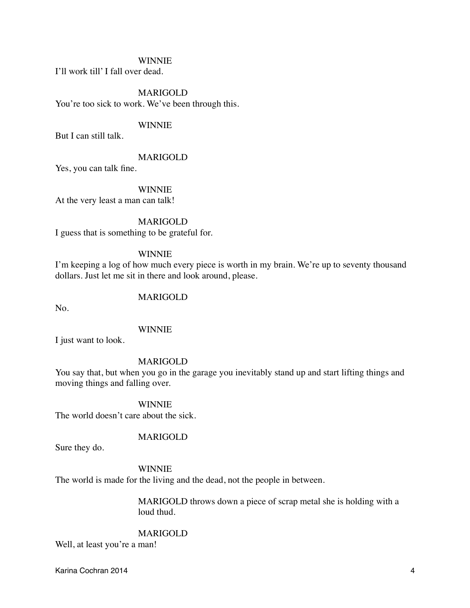### WINNIE

I'll work till' I fall over dead.

**MARIGOLD** You're too sick to work. We've been through this.

### **WINNIE**

But I can still talk.

### **MARIGOLD**

Yes, you can talk fine.

# **WINNIE**

At the very least a man can talk!

### **MARIGOLD**

I guess that is something to be grateful for.

# **WINNIE**

I'm keeping a log of how much every piece is worth in my brain. We're up to seventy thousand dollars. Just let me sit in there and look around, please.

# **MARIGOLD**

No.

### **WINNIE**

I just want to look.

### **MARIGOLD**

You say that, but when you go in the garage you inevitably stand up and start lifting things and moving things and falling over.

### **WINNIE**

The world doesn't care about the sick.

# **MARIGOLD**

Sure they do.

# **WINNIE**

The world is made for the living and the dead, not the people in between.

MARIGOLD throws down a piece of scrap metal she is holding with a loud thud.

## **MARIGOLD**

Well, at least you're a man!

Karina Cochran 2014 4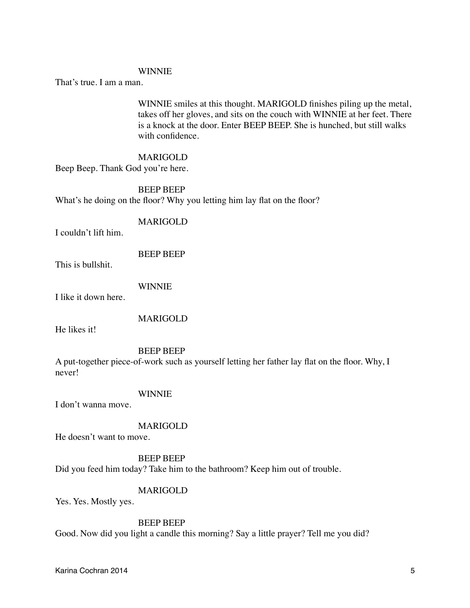### **WINNIE**

That's true. I am a man.

WINNIE smiles at this thought. MARIGOLD finishes piling up the metal, takes off her gloves, and sits on the couch with WINNIE at her feet. There is a knock at the door. Enter BEEP BEEP. She is hunched, but still walks with confidence.

### **MARIGOLD**

Beep Beep. Thank God you're here.

# BEEP BEEP What's he doing on the floor? Why you letting him lay flat on the floor?

### **MARIGOLD**

I couldn't lift him.

BEEP BEEP

This is bullshit.

**WINNIE** 

I like it down here.

**MARIGOLD** 

He likes it!

### BEEP BEEP

A put-together piece-of-work such as yourself letting her father lay flat on the floor. Why, I never!

### **WINNIE**

I don't wanna move.

### **MARIGOLD**

He doesn't want to move.

## **BEEP BEEP**

Did you feed him today? Take him to the bathroom? Keep him out of trouble.

# **MARIGOLD**

Yes. Yes. Mostly yes.

## BEEP BEEP

Good. Now did you light a candle this morning? Say a little prayer? Tell me you did?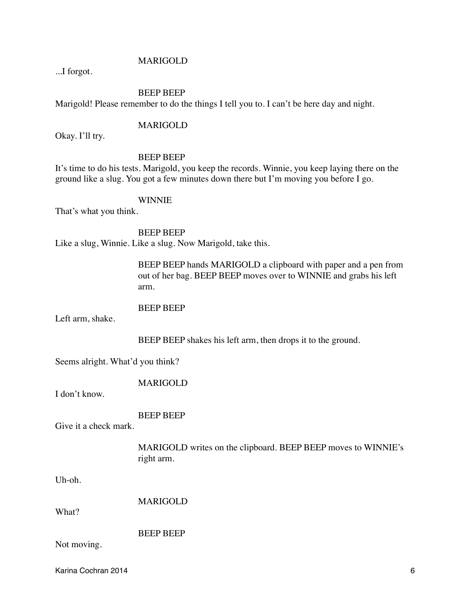# **MARIGOLD**

...I forgot.

BEEP BEEP Marigold! Please remember to do the things I tell you to. I can't be here day and night.

### **MARIGOLD**

Okay. I'll try.

## BEEP BEEP

It's time to do his tests. Marigold, you keep the records. Winnie, you keep laying there on the ground like a slug. You got a few minutes down there but I'm moving you before I go.

### **WINNIE**

That's what you think.

BEEP BEEP Like a slug, Winnie. Like a slug. Now Marigold, take this.

> BEEP BEEP hands MARIGOLD a clipboard with paper and a pen from out of her bag. BEEP BEEP moves over to WINNIE and grabs his left arm.

### BEEP BEEP

Left arm, shake.

BEEP BEEP shakes his left arm, then drops it to the ground.

Seems alright. What'd you think?

# **MARIGOLD**

I don't know.

# ! ! ! BEEP BEEP

Give it a check mark.

MARIGOLD writes on the clipboard. BEEP BEEP moves to WINNIE's right arm.

Uh-oh.

**MARIGOLD** 

What?

**BEEP BEEP** 

Not moving.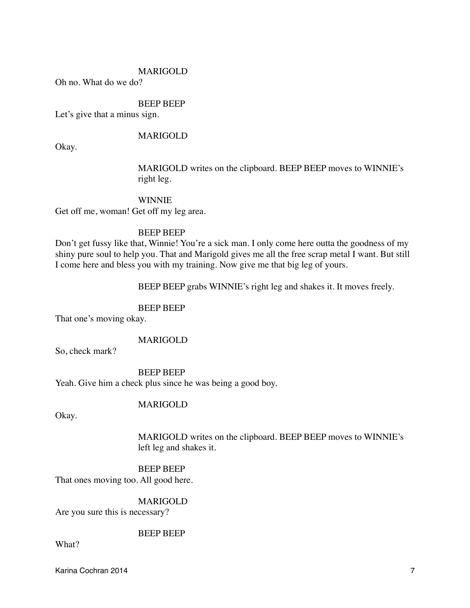### **MARIGOLD**

Oh no. What do we do?

## **BEEP BEEP**

Let's give that a minus sign.

## **MARIGOLD**

Okay.

MARIGOLD writes on the clipboard. BEEP BEEP moves to WINNIE's right leg.

# **WINNIE**

Get off me, woman! Get off my leg area.

### BEEP BEEP

Don't get fussy like that, Winnie! You're a sick man. I only come here outta the goodness of my shiny pure soul to help you. That and Marigold gives me all the free scrap metal I want. But still I come here and bless you with my training. Now give me that big leg of yours.

BEEP BEEP grabs WINNIE's right leg and shakes it. It moves freely.

# BEEP BEEP

That one's moving okay.

## **MARIGOLD**

So, check mark?

BEEP BEEP Yeah. Give him a check plus since he was being a good boy.

### **MARIGOLD**

Okay.

MARIGOLD writes on the clipboard. BEEP BEEP moves to WINNIE's left leg and shakes it.

# BEEP BEEP

That ones moving too. All good here.

## **MARIGOLD**

Are you sure this is necessary?

### **BEEP BEEP**

What?

Karina Cochran 2014 7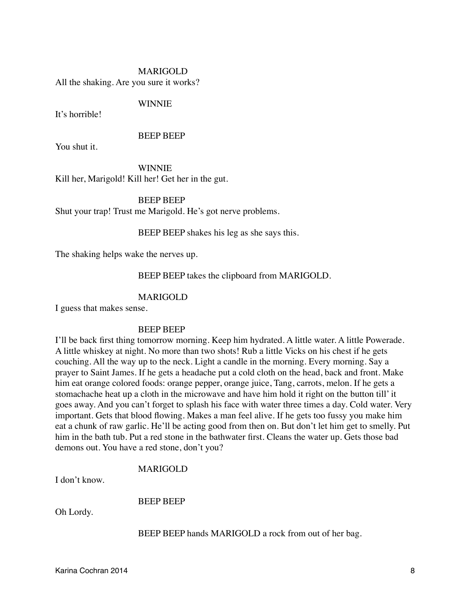# MARIGOLD All the shaking. Are you sure it works?

## **WINNIE**

It's horrible!

## BEEP BEEP

You shut it.

**WINNIE** Kill her, Marigold! Kill her! Get her in the gut.

# **BEEP BEEP**

Shut your trap! Trust me Marigold. He's got nerve problems.

BEEP BEEP shakes his leg as she says this.

The shaking helps wake the nerves up.

# BEEP BEEP takes the clipboard from MARIGOLD.

# MARIGOLD

I guess that makes sense.

### BEEP BEEP

I'll be back first thing tomorrow morning. Keep him hydrated. A little water. A little Powerade. A little whiskey at night. No more than two shots! Rub a little Vicks on his chest if he gets couching. All the way up to the neck. Light a candle in the morning. Every morning. Say a prayer to Saint James. If he gets a headache put a cold cloth on the head, back and front. Make him eat orange colored foods: orange pepper, orange juice, Tang, carrots, melon. If he gets a stomachache heat up a cloth in the microwave and have him hold it right on the button till' it goes away. And you can't forget to splash his face with water three times a day. Cold water. Very important. Gets that blood flowing. Makes a man feel alive. If he gets too fussy you make him eat a chunk of raw garlic. He'll be acting good from then on. But don't let him get to smelly. Put him in the bath tub. Put a red stone in the bathwater first. Cleans the water up. Gets those bad demons out. You have a red stone, don't you?

# **MARIGOLD**

I don't know.

BEEP BEEP

Oh Lordy.

BEEP BEEP hands MARIGOLD a rock from out of her bag.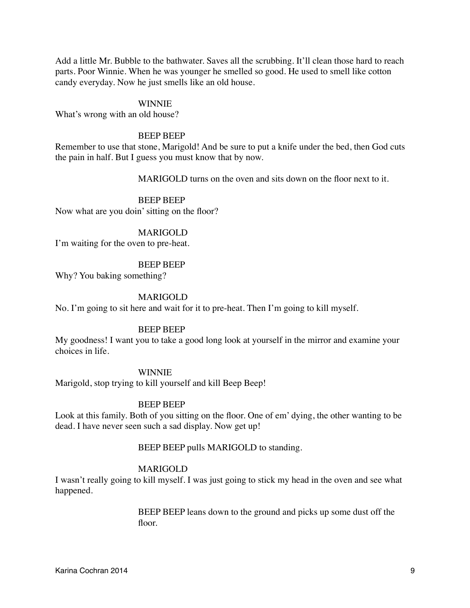Add a little Mr. Bubble to the bathwater. Saves all the scrubbing. It'll clean those hard to reach parts. Poor Winnie. When he was younger he smelled so good. He used to smell like cotton candy everyday. Now he just smells like an old house.

### **WINNIE**

What's wrong with an old house?

### BEEP BEEP

Remember to use that stone, Marigold! And be sure to put a knife under the bed, then God cuts the pain in half. But I guess you must know that by now.

**MARIGOLD** turns on the oven and sits down on the floor next to it.

### **BEEP BEEP**

Now what are you doin' sitting on the floor?

### **MARIGOLD**

I'm waiting for the oven to pre-heat.

### BEEP BEEP

Why? You baking something?

### **MARIGOLD**

No. I'm going to sit here and wait for it to pre-heat. Then I'm going to kill myself.

### BEEP BEEP

My goodness! I want you to take a good long look at yourself in the mirror and examine your choices in life.

### **WINNIE**

Marigold, stop trying to kill yourself and kill Beep Beep!

### BEEP BEEP

Look at this family. Both of you sitting on the floor. One of em' dying, the other wanting to be dead. I have never seen such a sad display. Now get up!

### BEEP BEEP pulls MARIGOLD to standing.

### **MARIGOLD**

I wasn't really going to kill myself. I was just going to stick my head in the oven and see what happened.

> BEEP BEEP leans down to the ground and picks up some dust off the floor.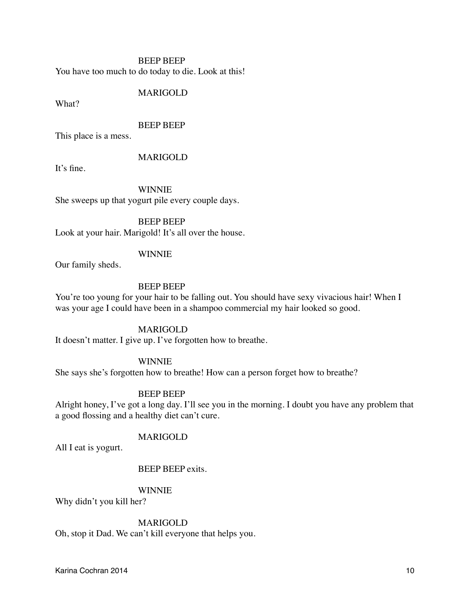# BEEP BEEP You have too much to do today to die. Look at this!

## **MARIGOLD**

What?

### ! ! ! BEEP BEEP

This place is a mess.

### **MARIGOLD**

It's fine.

**WINNIE** She sweeps up that yogurt pile every couple days.

BEEP BEEP Look at your hair. Marigold! It's all over the house.

# **WINNIE**

Our family sheds.

# ! ! ! BEEP BEEP

You're too young for your hair to be falling out. You should have sexy vivacious hair! When I was your age I could have been in a shampoo commercial my hair looked so good.

# **MARIGOLD**

It doesn't matter. I give up. I've forgotten how to breathe.

# **WINNIE**

She says she's forgotten how to breathe! How can a person forget how to breathe?

# BEEP BEEP

Alright honey, I've got a long day. I'll see you in the morning. I doubt you have any problem that a good flossing and a healthy diet can't cure.

# **MARIGOLD**

All I eat is yogurt.

## BEEP BEEP exits.

# **WINNIE**

Why didn't you kill her?

# **MARIGOLD**

Oh, stop it Dad. We can't kill everyone that helps you.